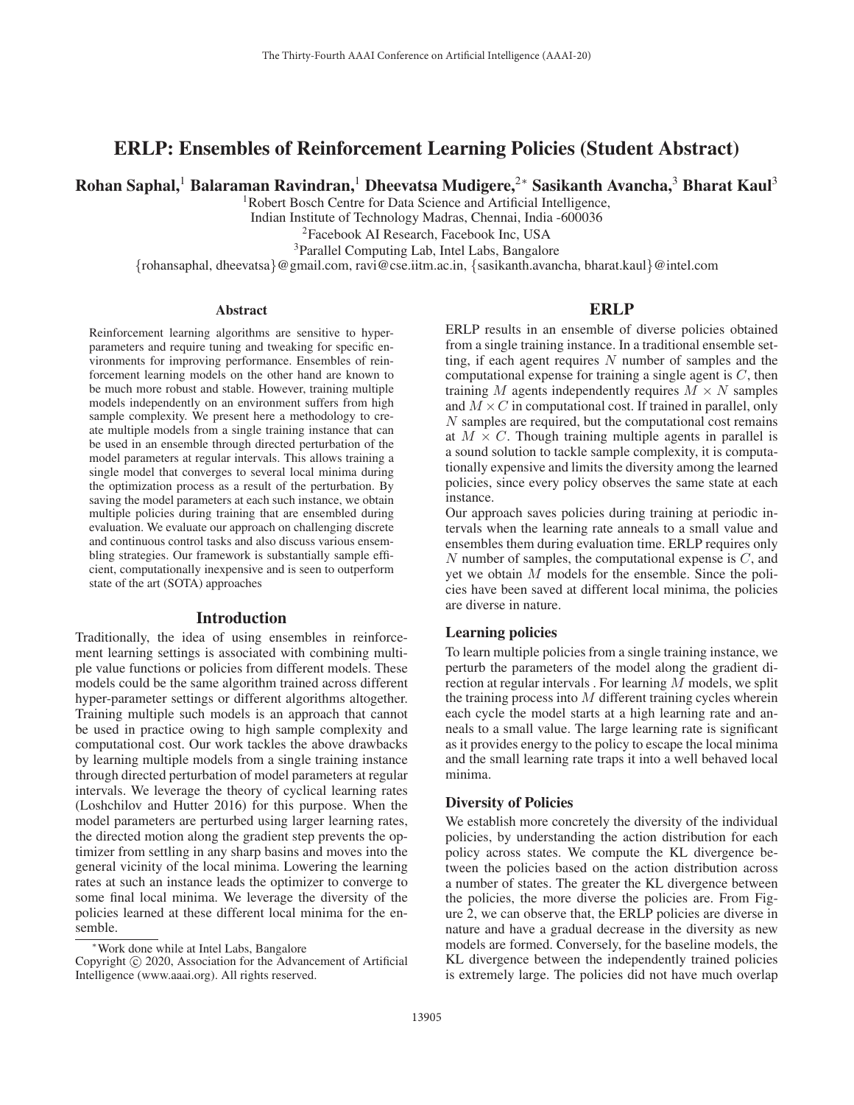# ERLP: Ensembles of Reinforcement Learning Policies (Student Abstract)

Rohan Saphal,<sup>1</sup> Balaraman Ravindran,<sup>1</sup> Dheevatsa Mudigere,<sup>2∗</sup> Sasikanth Avancha,<sup>3</sup> Bharat Kaul<sup>3</sup>

<sup>1</sup>Robert Bosch Centre for Data Science and Artificial Intelligence,

Indian Institute of Technology Madras, Chennai, India -600036

2Facebook AI Research, Facebook Inc, USA

3Parallel Computing Lab, Intel Labs, Bangalore

{rohansaphal, dheevatsa}@gmail.com, ravi@cse.iitm.ac.in, {sasikanth.avancha, bharat.kaul}@intel.com

#### **Abstract**

Reinforcement learning algorithms are sensitive to hyperparameters and require tuning and tweaking for specific environments for improving performance. Ensembles of reinforcement learning models on the other hand are known to be much more robust and stable. However, training multiple models independently on an environment suffers from high sample complexity. We present here a methodology to create multiple models from a single training instance that can be used in an ensemble through directed perturbation of the model parameters at regular intervals. This allows training a single model that converges to several local minima during the optimization process as a result of the perturbation. By saving the model parameters at each such instance, we obtain multiple policies during training that are ensembled during evaluation. We evaluate our approach on challenging discrete and continuous control tasks and also discuss various ensembling strategies. Our framework is substantially sample efficient, computationally inexpensive and is seen to outperform state of the art (SOTA) approaches

### Introduction

Traditionally, the idea of using ensembles in reinforcement learning settings is associated with combining multiple value functions or policies from different models. These models could be the same algorithm trained across different hyper-parameter settings or different algorithms altogether. Training multiple such models is an approach that cannot be used in practice owing to high sample complexity and computational cost. Our work tackles the above drawbacks by learning multiple models from a single training instance through directed perturbation of model parameters at regular intervals. We leverage the theory of cyclical learning rates (Loshchilov and Hutter 2016) for this purpose. When the model parameters are perturbed using larger learning rates, the directed motion along the gradient step prevents the optimizer from settling in any sharp basins and moves into the general vicinity of the local minima. Lowering the learning rates at such an instance leads the optimizer to converge to some final local minima. We leverage the diversity of the policies learned at these different local minima for the ensemble.

### ERLP

ERLP results in an ensemble of diverse policies obtained from a single training instance. In a traditional ensemble setting, if each agent requires  $N$  number of samples and the computational expense for training a single agent is  $C$ , then training M agents independently requires  $M \times N$  samples and  $M \times C$  in computational cost. If trained in parallel, only N samples are required, but the computational cost remains at  $M \times C$ . Though training multiple agents in parallel is a sound solution to tackle sample complexity, it is computationally expensive and limits the diversity among the learned policies, since every policy observes the same state at each instance.

Our approach saves policies during training at periodic intervals when the learning rate anneals to a small value and ensembles them during evaluation time. ERLP requires only  $N$  number of samples, the computational expense is  $C$ , and yet we obtain M models for the ensemble. Since the policies have been saved at different local minima, the policies are diverse in nature.

## Learning policies

To learn multiple policies from a single training instance, we perturb the parameters of the model along the gradient direction at regular intervals . For learning  $\overline{M}$  models, we split the training process into  $M$  different training cycles wherein each cycle the model starts at a high learning rate and anneals to a small value. The large learning rate is significant as it provides energy to the policy to escape the local minima and the small learning rate traps it into a well behaved local minima.

#### Diversity of Policies

We establish more concretely the diversity of the individual policies, by understanding the action distribution for each policy across states. We compute the KL divergence between the policies based on the action distribution across a number of states. The greater the KL divergence between the policies, the more diverse the policies are. From Figure 2, we can observe that, the ERLP policies are diverse in nature and have a gradual decrease in the diversity as new models are formed. Conversely, for the baseline models, the KL divergence between the independently trained policies is extremely large. The policies did not have much overlap

Work done while at Intel Labs, Bangalore

Copyright  $\odot$  2020, Association for the Advancement of Artificial Intelligence (www.aaai.org). All rights reserved.